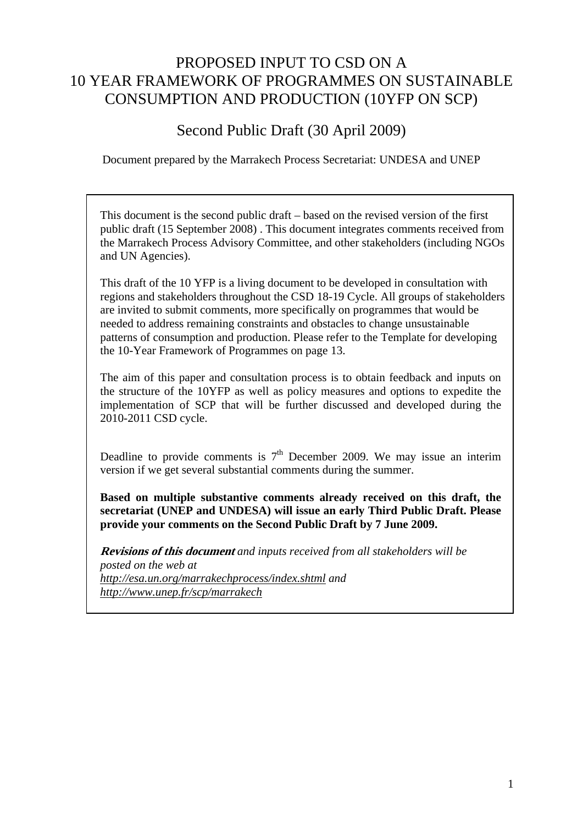## PROPOSED INPUT TO CSD ON A 10 YEAR FRAMEWORK OF PROGRAMMES ON SUSTAINABLE CONSUMPTION AND PRODUCTION (10YFP ON SCP)

Second Public Draft (30 April 2009)

Document prepared by the Marrakech Process Secretariat: UNDESA and UNEP

This document is the second public draft – based on the revised version of the first public draft (15 September 2008) . This document integrates comments received from the Marrakech Process Advisory Committee, and other stakeholders (including NGOs and UN Agencies).

This draft of the 10 YFP is a living document to be developed in consultation with regions and stakeholders throughout the CSD 18-19 Cycle. All groups of stakeholders are invited to submit comments, more specifically on programmes that would be needed to address remaining constraints and obstacles to change unsustainable patterns of consumption and production. Please refer to the Template for developing the 10-Year Framework of Programmes on page 13.

The aim of this paper and consultation process is to obtain feedback and inputs on the structure of the 10YFP as well as policy measures and options to expedite the implementation of SCP that will be further discussed and developed during the 2010-2011 CSD cycle.

Deadline to provide comments is  $7<sup>th</sup>$  December 2009. We may issue an interim version if we get several substantial comments during the summer.

**Based on multiple substantive comments already received on this draft, the secretariat (UNEP and UNDESA) will issue an early Third Public Draft. Please provide your comments on the Second Public Draft by 7 June 2009.** 

**Revisions of this document** *and inputs received from all stakeholders will be posted on the web at*  http://esa.un.org/marrakechprocess/index.shtml and http://www.unep.fr/scp/marrakech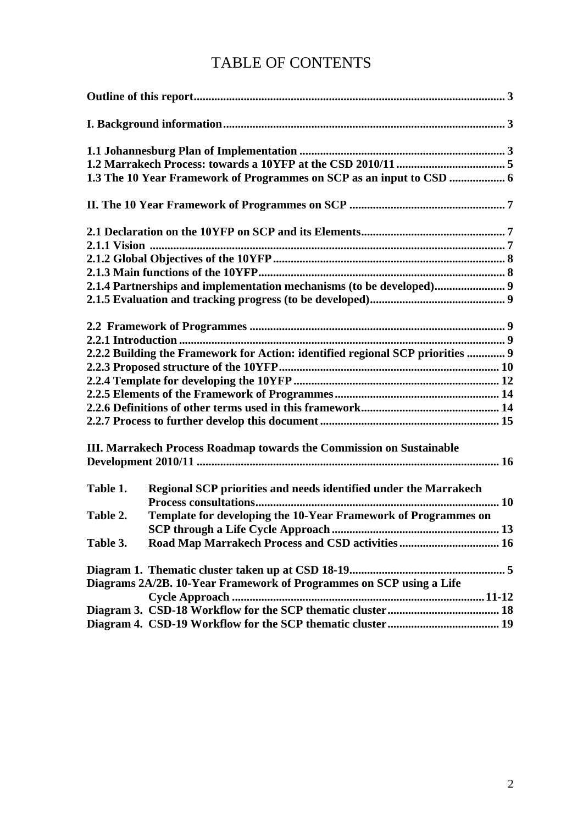# TABLE OF CONTENTS

|          | 2.1.4 Partnerships and implementation mechanisms (to be developed) 9           |  |  |  |
|----------|--------------------------------------------------------------------------------|--|--|--|
|          |                                                                                |  |  |  |
|          |                                                                                |  |  |  |
|          |                                                                                |  |  |  |
|          | 2.2.2 Building the Framework for Action: identified regional SCP priorities  9 |  |  |  |
|          |                                                                                |  |  |  |
|          |                                                                                |  |  |  |
|          |                                                                                |  |  |  |
|          |                                                                                |  |  |  |
|          |                                                                                |  |  |  |
|          | III. Marrakech Process Roadmap towards the Commission on Sustainable           |  |  |  |
|          |                                                                                |  |  |  |
|          |                                                                                |  |  |  |
| Table 1. | Regional SCP priorities and needs identified under the Marrakech               |  |  |  |
|          |                                                                                |  |  |  |
| Table 2. | Template for developing the 10-Year Framework of Programmes on                 |  |  |  |
|          |                                                                                |  |  |  |
| Table 3. |                                                                                |  |  |  |
|          |                                                                                |  |  |  |
|          | Diagrams 2A/2B. 10-Year Framework of Programmes on SCP using a Life            |  |  |  |
|          |                                                                                |  |  |  |
|          |                                                                                |  |  |  |
|          |                                                                                |  |  |  |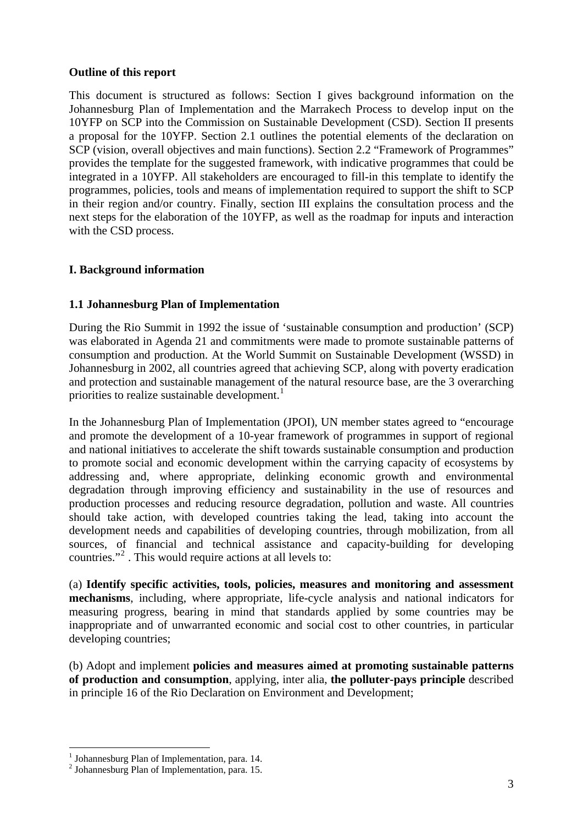#### **Outline of this report**

This document is structured as follows: Section I gives background information on the Johannesburg Plan of Implementation and the Marrakech Process to develop input on the 10YFP on SCP into the Commission on Sustainable Development (CSD). Section II presents a proposal for the 10YFP. Section 2.1 outlines the potential elements of the declaration on SCP (vision, overall objectives and main functions). Section 2.2 "Framework of Programmes" provides the template for the suggested framework, with indicative programmes that could be integrated in a 10YFP. All stakeholders are encouraged to fill-in this template to identify the programmes, policies, tools and means of implementation required to support the shift to SCP in their region and/or country. Finally, section III explains the consultation process and the next steps for the elaboration of the 10YFP, as well as the roadmap for inputs and interaction with the CSD process.

#### **I. Background information**

#### **1.1 Johannesburg Plan of Implementation**

During the Rio Summit in 1992 the issue of 'sustainable consumption and production' (SCP) was elaborated in Agenda 21 and commitments were made to promote sustainable patterns of consumption and production. At the World Summit on Sustainable Development (WSSD) in Johannesburg in 2002, all countries agreed that achieving SCP, along with poverty eradication and protection and sustainable management of the natural resource base, are the 3 overarching priorities to realize sustainable development.<sup>1</sup>

In the Johannesburg Plan of Implementation (JPOI), UN member states agreed to "encourage and promote the development of a 10-year framework of programmes in support of regional and national initiatives to accelerate the shift towards sustainable consumption and production to promote social and economic development within the carrying capacity of ecosystems by addressing and, where appropriate, delinking economic growth and environmental degradation through improving efficiency and sustainability in the use of resources and production processes and reducing resource degradation, pollution and waste. All countries should take action, with developed countries taking the lead, taking into account the development needs and capabilities of developing countries, through mobilization, from all sources, of financial and technical assistance and capacity-building for developing countries."<sup>2</sup>. This would require actions at all levels to:

(a) **Identify specific activities, tools, policies, measures and monitoring and assessment mechanisms**, including, where appropriate, life-cycle analysis and national indicators for measuring progress, bearing in mind that standards applied by some countries may be inappropriate and of unwarranted economic and social cost to other countries, in particular developing countries;

(b) Adopt and implement **policies and measures aimed at promoting sustainable patterns of production and consumption**, applying, inter alia, **the polluter-pays principle** described in principle 16 of the Rio Declaration on Environment and Development;

 $\overline{a}$ 

 $<sup>1</sup>$  Johannesburg Plan of Implementation, para. 14.</sup>

 $<sup>2</sup>$  Johannesburg Plan of Implementation, para. 15.</sup>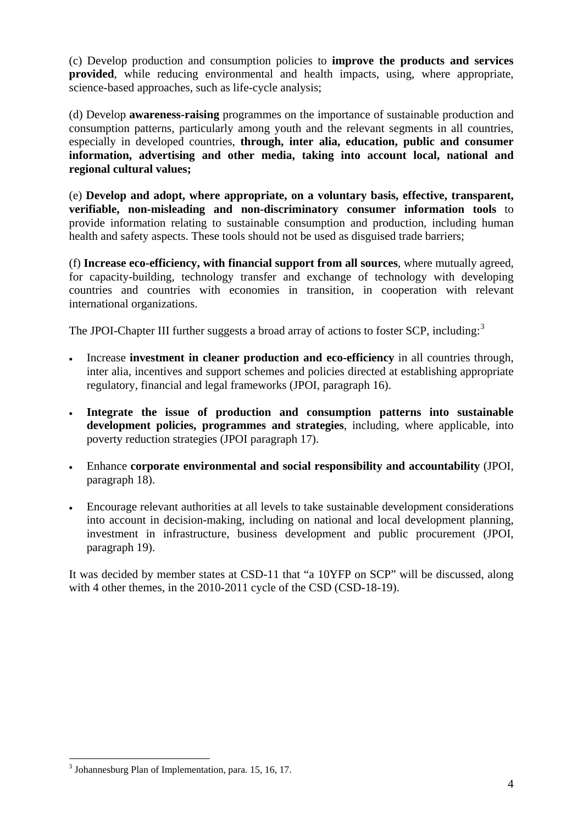(c) Develop production and consumption policies to **improve the products and services provided**, while reducing environmental and health impacts, using, where appropriate, science-based approaches, such as life-cycle analysis;

(d) Develop **awareness-raising** programmes on the importance of sustainable production and consumption patterns, particularly among youth and the relevant segments in all countries, especially in developed countries, **through, inter alia, education, public and consumer information, advertising and other media, taking into account local, national and regional cultural values;** 

(e) **Develop and adopt, where appropriate, on a voluntary basis, effective, transparent, verifiable, non-misleading and non-discriminatory consumer information tools** to provide information relating to sustainable consumption and production, including human health and safety aspects. These tools should not be used as disguised trade barriers;

(f) **Increase eco-efficiency, with financial support from all sources**, where mutually agreed, for capacity-building, technology transfer and exchange of technology with developing countries and countries with economies in transition, in cooperation with relevant international organizations.

The JPOI-Chapter III further suggests a broad array of actions to foster SCP, including:<sup>3</sup>

- Increase **investment in cleaner production and eco-efficiency** in all countries through, inter alia, incentives and support schemes and policies directed at establishing appropriate regulatory, financial and legal frameworks (JPOI, paragraph 16).
- **Integrate the issue of production and consumption patterns into sustainable development policies, programmes and strategies**, including, where applicable, into poverty reduction strategies (JPOI paragraph 17).
- Enhance **corporate environmental and social responsibility and accountability** (JPOI, paragraph 18).
- Encourage relevant authorities at all levels to take sustainable development considerations into account in decision-making, including on national and local development planning, investment in infrastructure, business development and public procurement (JPOI, paragraph 19).

It was decided by member states at CSD-11 that "a 10YFP on SCP" will be discussed, along with 4 other themes, in the 2010-2011 cycle of the CSD (CSD-18-19).

 $\overline{a}$ 

 $3$  Johannesburg Plan of Implementation, para. 15, 16, 17.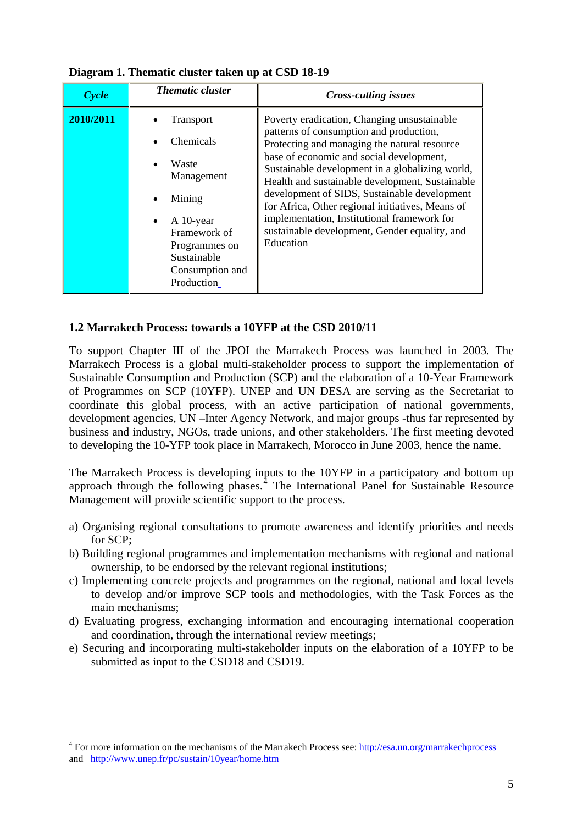| Cycle     | <b>Thematic cluster</b>                                                                                                                                                                | <b>Cross-cutting issues</b>                                                                                                                                                                                                                                                                                                                                                                                                                                                                               |
|-----------|----------------------------------------------------------------------------------------------------------------------------------------------------------------------------------------|-----------------------------------------------------------------------------------------------------------------------------------------------------------------------------------------------------------------------------------------------------------------------------------------------------------------------------------------------------------------------------------------------------------------------------------------------------------------------------------------------------------|
| 2010/2011 | Transport<br>Chemicals<br>Waste<br>$\bullet$<br>Management<br>Mining<br>$\bullet$<br>$A$ 10-year<br>٠<br>Framework of<br>Programmes on<br>Sustainable<br>Consumption and<br>Production | Poverty eradication, Changing unsustainable<br>patterns of consumption and production,<br>Protecting and managing the natural resource<br>base of economic and social development,<br>Sustainable development in a globalizing world,<br>Health and sustainable development, Sustainable<br>development of SIDS, Sustainable development<br>for Africa, Other regional initiatives, Means of<br>implementation, Institutional framework for<br>sustainable development, Gender equality, and<br>Education |

**Diagram 1. Thematic cluster taken up at CSD 18-19** 

#### **1.2 Marrakech Process: towards a 10YFP at the CSD 2010/11**

To support Chapter III of the JPOI the Marrakech Process was launched in 2003. The Marrakech Process is a global multi-stakeholder process to support the implementation of Sustainable Consumption and Production (SCP) and the elaboration of a 10-Year Framework of Programmes on SCP (10YFP). UNEP and UN DESA are serving as the Secretariat to coordinate this global process, with an active participation of national governments, development agencies, UN –Inter Agency Network, and major groups -thus far represented by business and industry, NGOs, trade unions, and other stakeholders. The first meeting devoted to developing the 10-YFP took place in Marrakech, Morocco in June 2003, hence the name.

The Marrakech Process is developing inputs to the 10YFP in a participatory and bottom up approach through the following phases.<sup> $4$ </sup> The International Panel for Sustainable Resource Management will provide scientific support to the process.

- a) Organising regional consultations to promote awareness and identify priorities and needs for SCP;
- b) Building regional programmes and implementation mechanisms with regional and national ownership, to be endorsed by the relevant regional institutions;
- c) Implementing concrete projects and programmes on the regional, national and local levels to develop and/or improve SCP tools and methodologies, with the Task Forces as the main mechanisms;
- d) Evaluating progress, exchanging information and encouraging international cooperation and coordination, through the international review meetings;
- e) Securing and incorporating multi-stakeholder inputs on the elaboration of a 10YFP to be submitted as input to the CSD18 and CSD19.

 $\overline{a}$ 

<sup>&</sup>lt;sup>4</sup> For more information on the mechanisms of the Marrakech Process see: http://esa.un.org/marrakechprocess and  $http://www.unep.fr/pc/sustain/10year/home.htm$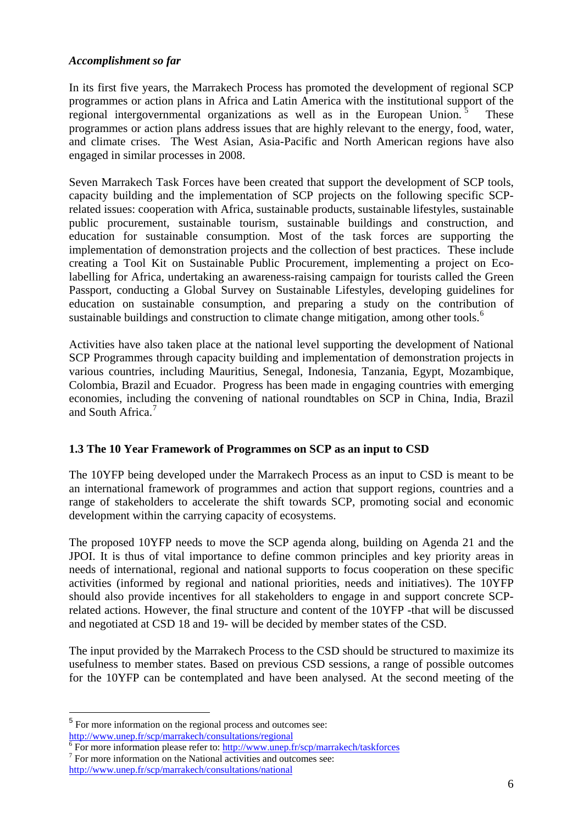#### *Accomplishment so far*

In its first five years, the Marrakech Process has promoted the development of regional SCP programmes or action plans in Africa and Latin America with the institutional support of the regional intergovernmental organizations as well as in the European Union.<sup>5</sup> These programmes or action plans address issues that are highly relevant to the energy, food, water, and climate crises. The West Asian, Asia-Pacific and North American regions have also engaged in similar processes in 2008.

Seven Marrakech Task Forces have been created that support the development of SCP tools, capacity building and the implementation of SCP projects on the following specific SCPrelated issues: cooperation with Africa, sustainable products, sustainable lifestyles, sustainable public procurement, sustainable tourism, sustainable buildings and construction, and education for sustainable consumption. Most of the task forces are supporting the implementation of demonstration projects and the collection of best practices. These include creating a Tool Kit on Sustainable Public Procurement, implementing a project on Ecolabelling for Africa, undertaking an awareness-raising campaign for tourists called the Green Passport, conducting a Global Survey on Sustainable Lifestyles, developing guidelines for education on sustainable consumption, and preparing a study on the contribution of sustainable buildings and construction to climate change mitigation, among other tools.<sup>6</sup>

Activities have also taken place at the national level supporting the development of National SCP Programmes through capacity building and implementation of demonstration projects in various countries, including Mauritius, Senegal, Indonesia, Tanzania, Egypt, Mozambique, Colombia, Brazil and Ecuador. Progress has been made in engaging countries with emerging economies, including the convening of national roundtables on SCP in China, India, Brazil and South Africa.<sup>7</sup>

#### **1.3 The 10 Year Framework of Programmes on SCP as an input to CSD**

The 10YFP being developed under the Marrakech Process as an input to CSD is meant to be an international framework of programmes and action that support regions, countries and a range of stakeholders to accelerate the shift towards SCP, promoting social and economic development within the carrying capacity of ecosystems.

The proposed 10YFP needs to move the SCP agenda along, building on Agenda 21 and the JPOI. It is thus of vital importance to define common principles and key priority areas in needs of international, regional and national supports to focus cooperation on these specific activities (informed by regional and national priorities, needs and initiatives). The 10YFP should also provide incentives for all stakeholders to engage in and support concrete SCPrelated actions. However, the final structure and content of the 10YFP -that will be discussed and negotiated at CSD 18 and 19- will be decided by member states of the CSD.

The input provided by the Marrakech Process to the CSD should be structured to maximize its usefulness to member states. Based on previous CSD sessions, a range of possible outcomes for the 10YFP can be contemplated and have been analysed. At the second meeting of the

 $\overline{a}$ 

 $7$  For more information on the National activities and outcomes see: http://www.unep.fr/scp/marrakech/consultations/national

 $5$  For more information on the regional process and outcomes see:

http://www.unep.fr/scp/marrakech/consultations/regional

<sup>&</sup>lt;sup>6</sup> For more information please refer to: http://www.unep.fr/scp/marrakech/taskforces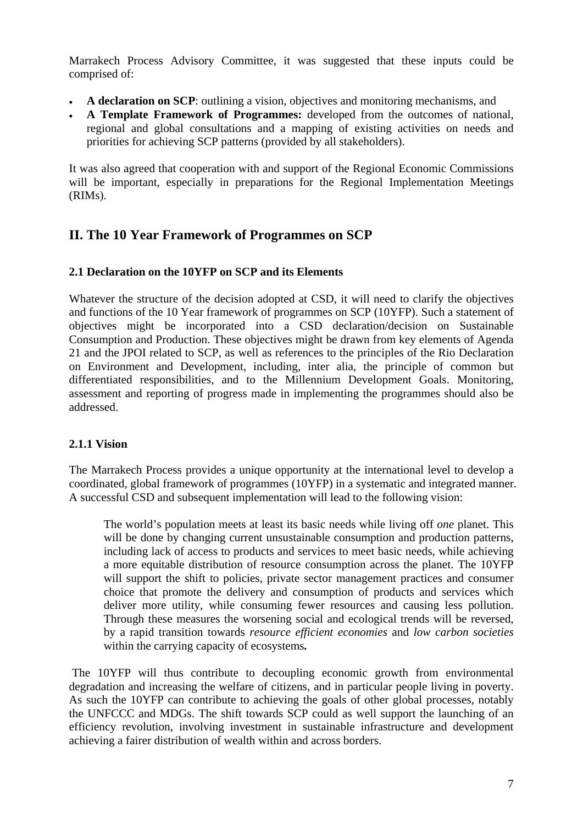Marrakech Process Advisory Committee, it was suggested that these inputs could be comprised of:

- **A declaration on SCP**: outlining a vision, objectives and monitoring mechanisms, and
- **A Template Framework of Programmes:** developed from the outcomes of national, regional and global consultations and a mapping of existing activities on needs and priorities for achieving SCP patterns (provided by all stakeholders).

It was also agreed that cooperation with and support of the Regional Economic Commissions will be important, especially in preparations for the Regional Implementation Meetings (RIMs).

## **II. The 10 Year Framework of Programmes on SCP**

#### **2.1 Declaration on the 10YFP on SCP and its Elements**

Whatever the structure of the decision adopted at CSD, it will need to clarify the objectives and functions of the 10 Year framework of programmes on SCP (10YFP). Such a statement of objectives might be incorporated into a CSD declaration/decision on Sustainable Consumption and Production. These objectives might be drawn from key elements of Agenda 21 and the JPOI related to SCP, as well as references to the principles of the Rio Declaration on Environment and Development, including, inter alia, the principle of common but differentiated responsibilities, and to the Millennium Development Goals. Monitoring, assessment and reporting of progress made in implementing the programmes should also be addressed.

#### **2.1.1 Vision**

The Marrakech Process provides a unique opportunity at the international level to develop a coordinated, global framework of programmes (10YFP) in a systematic and integrated manner. A successful CSD and subsequent implementation will lead to the following vision:

The world's population meets at least its basic needs while living off *one* planet. This will be done by changing current unsustainable consumption and production patterns, including lack of access to products and services to meet basic needs, while achieving a more equitable distribution of resource consumption across the planet. The 10YFP will support the shift to policies, private sector management practices and consumer choice that promote the delivery and consumption of products and services which deliver more utility, while consuming fewer resources and causing less pollution. Through these measures the worsening social and ecological trends will be reversed, by a rapid transition towards *resource efficient economies* and *low carbon societies*  within the carrying capacity of ecosystems*.* 

The 10YFP will thus contribute to decoupling economic growth from environmental degradation and increasing the welfare of citizens, and in particular people living in poverty. As such the 10YFP can contribute to achieving the goals of other global processes, notably the UNFCCC and MDGs. The shift towards SCP could as well support the launching of an efficiency revolution, involving investment in sustainable infrastructure and development achieving a fairer distribution of wealth within and across borders.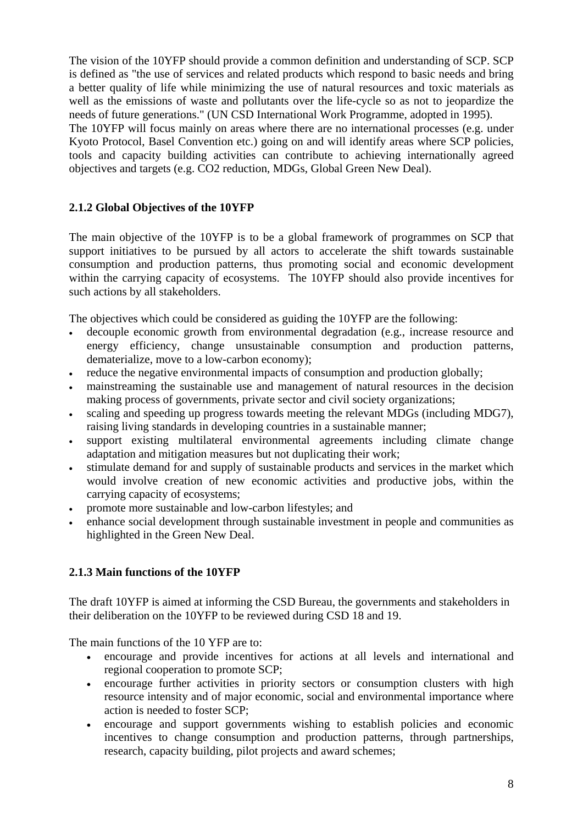The vision of the 10YFP should provide a common definition and understanding of SCP. SCP is defined as "the use of services and related products which respond to basic needs and bring a better quality of life while minimizing the use of natural resources and toxic materials as well as the emissions of waste and pollutants over the life-cycle so as not to jeopardize the needs of future generations." (UN CSD International Work Programme, adopted in 1995).

The 10YFP will focus mainly on areas where there are no international processes (e.g. under Kyoto Protocol, Basel Convention etc.) going on and will identify areas where SCP policies, tools and capacity building activities can contribute to achieving internationally agreed objectives and targets (e.g. CO2 reduction, MDGs, Global Green New Deal).

### **2.1.2 Global Objectives of the 10YFP**

The main objective of the 10YFP is to be a global framework of programmes on SCP that support initiatives to be pursued by all actors to accelerate the shift towards sustainable consumption and production patterns, thus promoting social and economic development within the carrying capacity of ecosystems. The 10YFP should also provide incentives for such actions by all stakeholders.

The objectives which could be considered as guiding the 10YFP are the following:

- decouple economic growth from environmental degradation (e.g., increase resource and energy efficiency, change unsustainable consumption and production patterns, dematerialize, move to a low-carbon economy);
- reduce the negative environmental impacts of consumption and production globally;
- mainstreaming the sustainable use and management of natural resources in the decision making process of governments, private sector and civil society organizations;
- scaling and speeding up progress towards meeting the relevant MDGs (including MDG7), raising living standards in developing countries in a sustainable manner;
- support existing multilateral environmental agreements including climate change adaptation and mitigation measures but not duplicating their work;
- stimulate demand for and supply of sustainable products and services in the market which would involve creation of new economic activities and productive jobs, within the carrying capacity of ecosystems;
- promote more sustainable and low-carbon lifestyles; and
- enhance social development through sustainable investment in people and communities as highlighted in the Green New Deal.

#### **2.1.3 Main functions of the 10YFP**

The draft 10YFP is aimed at informing the CSD Bureau, the governments and stakeholders in their deliberation on the 10YFP to be reviewed during CSD 18 and 19.

The main functions of the 10 YFP are to:

- encourage and provide incentives for actions at all levels and international and regional cooperation to promote SCP;
- encourage further activities in priority sectors or consumption clusters with high resource intensity and of major economic, social and environmental importance where action is needed to foster SCP;
- encourage and support governments wishing to establish policies and economic incentives to change consumption and production patterns, through partnerships, research, capacity building, pilot projects and award schemes;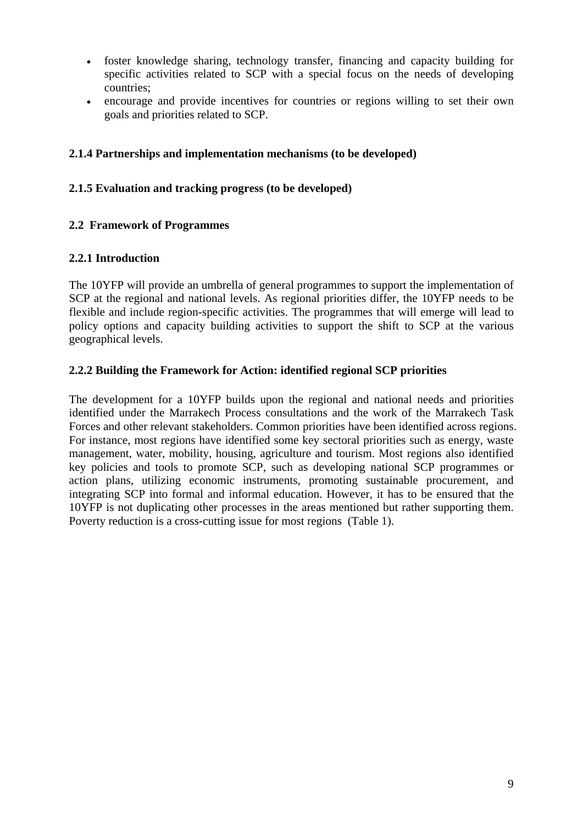- foster knowledge sharing, technology transfer, financing and capacity building for specific activities related to SCP with a special focus on the needs of developing countries;
- encourage and provide incentives for countries or regions willing to set their own goals and priorities related to SCP.

#### **2.1.4 Partnerships and implementation mechanisms (to be developed)**

#### **2.1.5 Evaluation and tracking progress (to be developed)**

#### **2.2 Framework of Programmes**

#### **2.2.1 Introduction**

The 10YFP will provide an umbrella of general programmes to support the implementation of SCP at the regional and national levels. As regional priorities differ, the 10YFP needs to be flexible and include region-specific activities. The programmes that will emerge will lead to policy options and capacity building activities to support the shift to SCP at the various geographical levels.

#### **2.2.2 Building the Framework for Action: identified regional SCP priorities**

The development for a 10YFP builds upon the regional and national needs and priorities identified under the Marrakech Process consultations and the work of the Marrakech Task Forces and other relevant stakeholders. Common priorities have been identified across regions. For instance, most regions have identified some key sectoral priorities such as energy, waste management, water, mobility, housing, agriculture and tourism. Most regions also identified key policies and tools to promote SCP, such as developing national SCP programmes or action plans, utilizing economic instruments, promoting sustainable procurement, and integrating SCP into formal and informal education. However, it has to be ensured that the 10YFP is not duplicating other processes in the areas mentioned but rather supporting them. Poverty reduction is a cross-cutting issue for most regions (Table 1).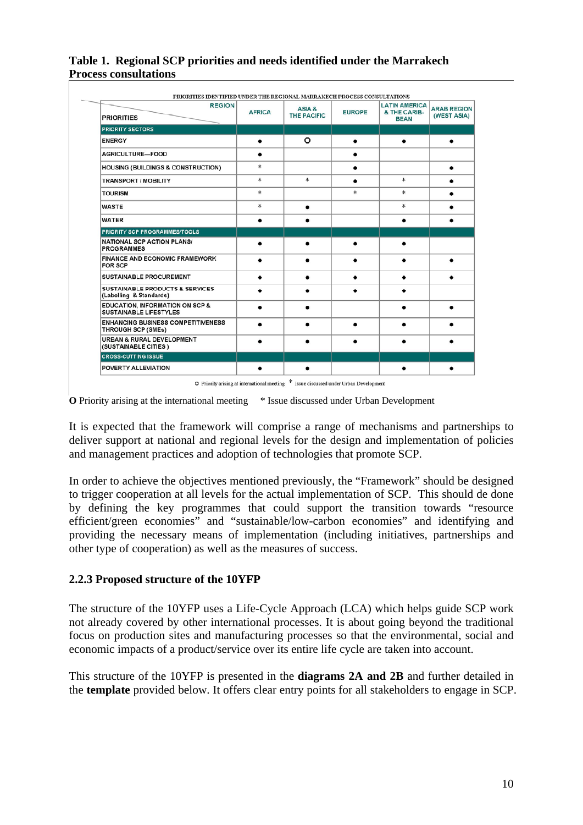| <b>REGION</b>                                                               |               |                              |               | <b>LATIN AMERICA</b>        |                                   |
|-----------------------------------------------------------------------------|---------------|------------------------------|---------------|-----------------------------|-----------------------------------|
| <b>PRIORITIES</b>                                                           | <b>AFRICA</b> | ASIA &<br><b>THE PACIFIC</b> | <b>EUROPE</b> | & THE CARIB-<br><b>BEAN</b> | <b>ARAB REGION</b><br>(WEST ASIA) |
| <b>PRIORITY SECTORS</b>                                                     |               |                              |               |                             |                                   |
| <b>ENERGY</b>                                                               | ٠             | ٥                            | ٠             | ٠                           |                                   |
| AGRICULTURE-FOOD                                                            | ٠             |                              | ٠             |                             |                                   |
| <b>HOUSING (BUILDINGS &amp; CONSTRUCTION)</b>                               | *             |                              | ٠             |                             | ٠                                 |
| <b>TRANSPORT / MOBILITY</b>                                                 | *             | *                            | ٠             | *                           |                                   |
| <b>TOURISM</b>                                                              | *             |                              | *             | *                           |                                   |
| <b>WASTE</b>                                                                | 冰             | ٠                            |               | 冰                           |                                   |
| <b>WATER</b>                                                                | $\bullet$     |                              |               |                             |                                   |
| <b>PRIORITY SCP PROGRAMMES/TOOLS</b>                                        |               |                              |               |                             |                                   |
| <b>NATIONAL SCP ACTION PLANS/</b><br><b>PROGRAMMES</b>                      | $\bullet$     | $\bullet$                    | $\bullet$     | $\bullet$                   |                                   |
| <b>FINANCE AND ECONOMIC FRAMEWORK</b><br><b>FOR SCP</b>                     |               |                              |               |                             |                                   |
| <b>SUSTAINABLE PROCUREMENT</b>                                              | ٠             | ٠                            | ٠             | ٠                           |                                   |
| SUSTAINABLE PRODUCTS & SERVICES<br>(Labelling & Standards)                  |               |                              |               |                             |                                   |
| <b>EDUCATION, INFORMATION ON SCP &amp;</b><br><b>SUSTAINABLE LIFESTYLES</b> | ٠             | ٠                            |               |                             |                                   |
| <b>ENHANCING BUSINESS COMPETITIVENESS</b><br><b>THROUGH SCP (SMEs)</b>      | $\bullet$     | $\bullet$                    | $\bullet$     |                             |                                   |
| <b>URBAN &amp; RURAL DEVELOPMENT</b><br>(SUSTAINABLE CITIES)                |               |                              |               |                             |                                   |
| <b>CROSS-CUTTING ISSUE</b>                                                  |               |                              |               |                             |                                   |
| <b>POVERTY ALLEVIATION</b>                                                  |               |                              |               |                             |                                   |

**Table 1. Regional SCP priorities and needs identified under the Marrakech Process consultations** 

O Priority arising at international meeting \* Issue discussed under Urban Development

**O** Priority arising at the international meeting \* Issue discussed under Urban Development

It is expected that the framework will comprise a range of mechanisms and partnerships to deliver support at national and regional levels for the design and implementation of policies and management practices and adoption of technologies that promote SCP.

In order to achieve the objectives mentioned previously, the "Framework" should be designed to trigger cooperation at all levels for the actual implementation of SCP. This should de done by defining the key programmes that could support the transition towards "resource efficient/green economies" and "sustainable/low-carbon economies" and identifying and providing the necessary means of implementation (including initiatives, partnerships and other type of cooperation) as well as the measures of success.

#### **2.2.3 Proposed structure of the 10YFP**

The structure of the 10YFP uses a Life-Cycle Approach (LCA) which helps guide SCP work not already covered by other international processes. It is about going beyond the traditional focus on production sites and manufacturing processes so that the environmental, social and economic impacts of a product/service over its entire life cycle are taken into account.

This structure of the 10YFP is presented in the **diagrams 2A and 2B** and further detailed in the **template** provided below. It offers clear entry points for all stakeholders to engage in SCP.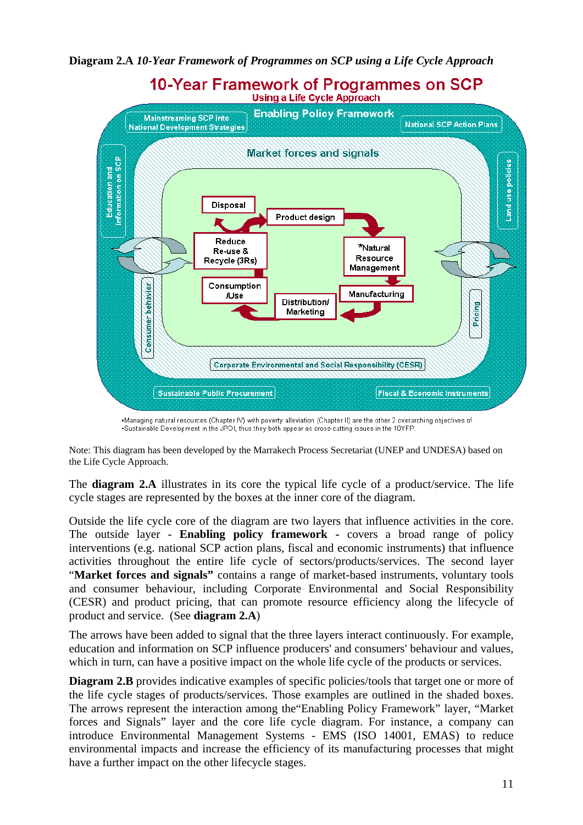**Diagram 2.A** *10-Year Framework of Programmes on SCP using a Life Cycle Approach*



-Managing natural resources (Chapter IV) with poverty alleviation (Chapter II) are the other 2 overarching objectives of -Sustainable Development in the JPOI, thus they both appear as cross-cutting issues in the 10YFP.

Note: This diagram has been developed by the Marrakech Process Secretariat (UNEP and UNDESA) based on the Life Cycle Approach.

The **diagram 2.A** illustrates in its core the typical life cycle of a product/service. The life cycle stages are represented by the boxes at the inner core of the diagram.

Outside the life cycle core of the diagram are two layers that influence activities in the core. The outside layer - **Enabling policy framework -** covers a broad range of policy interventions (e.g. national SCP action plans, fiscal and economic instruments) that influence activities throughout the entire life cycle of sectors/products/services. The second layer "**Market forces and signals"** contains a range of market-based instruments, voluntary tools and consumer behaviour, including Corporate Environmental and Social Responsibility (CESR) and product pricing, that can promote resource efficiency along the lifecycle of product and service. (See **diagram 2.A**)

The arrows have been added to signal that the three layers interact continuously. For example, education and information on SCP influence producers' and consumers' behaviour and values, which in turn, can have a positive impact on the whole life cycle of the products or services.

**Diagram 2.B** provides indicative examples of specific policies/tools that target one or more of the life cycle stages of products/services. Those examples are outlined in the shaded boxes. The arrows represent the interaction among the"Enabling Policy Framework" layer, "Market forces and Signals" layer and the core life cycle diagram. For instance, a company can introduce Environmental Management Systems - EMS (ISO 14001, EMAS) to reduce environmental impacts and increase the efficiency of its manufacturing processes that might have a further impact on the other lifecycle stages.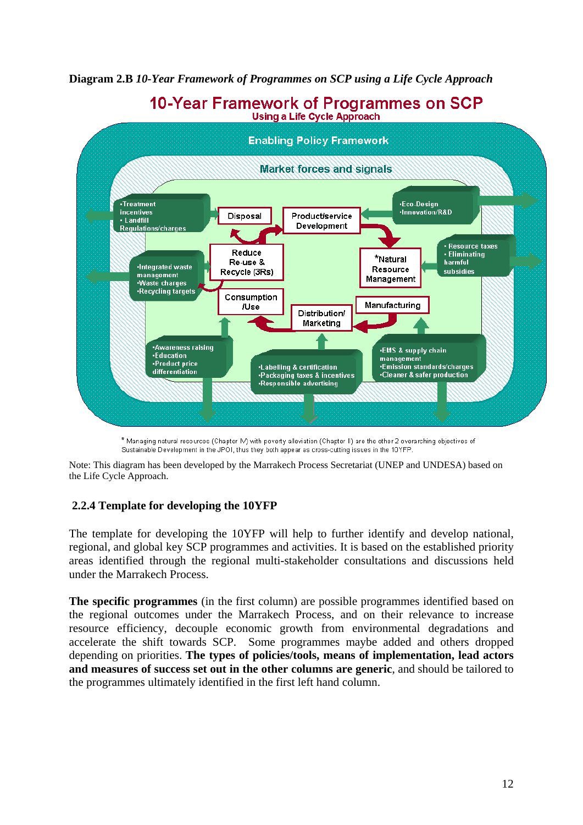**Diagram 2.B** *10-Year Framework of Programmes on SCP using a Life Cycle Approach*



10-Year Framework of Programmes on SCP

\* Managing natural resources (Chapter IV) with poverty alleviation (Chapter II) are the other 2 overarching objectives of Sustainable Development in the JPOI, thus they both appear as cross-cutting issues in the 10YFP.

Note: This diagram has been developed by the Marrakech Process Secretariat (UNEP and UNDESA) based on the Life Cycle Approach.

#### **2.2.4 Template for developing the 10YFP**

The template for developing the 10YFP will help to further identify and develop national, regional, and global key SCP programmes and activities. It is based on the established priority areas identified through the regional multi-stakeholder consultations and discussions held under the Marrakech Process.

**The specific programmes** (in the first column) are possible programmes identified based on the regional outcomes under the Marrakech Process, and on their relevance to increase resource efficiency, decouple economic growth from environmental degradations and accelerate the shift towards SCP. Some programmes maybe added and others dropped depending on priorities. **The types of policies/tools, means of implementation, lead actors and measures of success set out in the other columns are generic**, and should be tailored to the programmes ultimately identified in the first left hand column.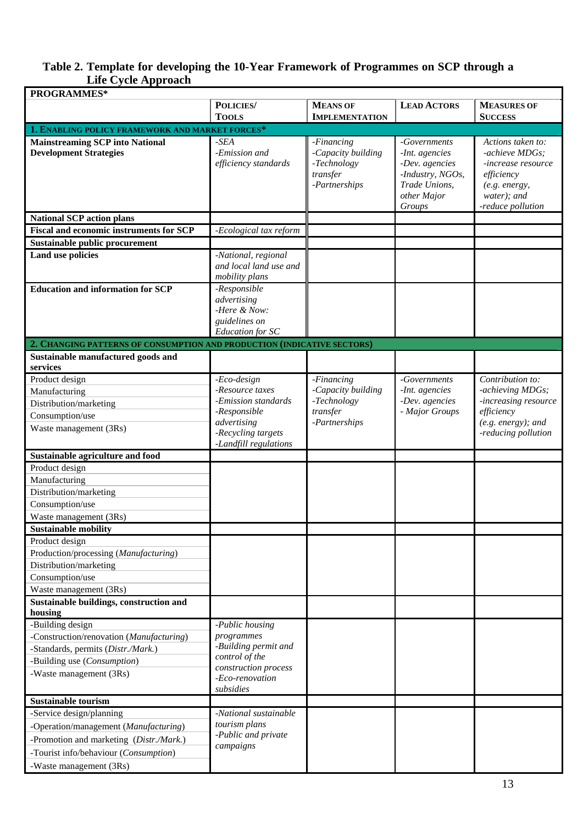#### **Table 2. Template for developing the 10-Year Framework of Programmes on SCP through a Life Cycle Approach**

| <b>PROGRAMMES*</b>                                                      |                                                                                         |                                                                              |                                                                                                                |                                                                                                                              |
|-------------------------------------------------------------------------|-----------------------------------------------------------------------------------------|------------------------------------------------------------------------------|----------------------------------------------------------------------------------------------------------------|------------------------------------------------------------------------------------------------------------------------------|
|                                                                         | POLICIES/                                                                               | <b>MEANS OF</b>                                                              | <b>LEAD ACTORS</b>                                                                                             | <b>MEASURES OF</b>                                                                                                           |
|                                                                         | <b>TOOLS</b>                                                                            | <b>IMPLEMENTATION</b>                                                        |                                                                                                                | <b>SUCCESS</b>                                                                                                               |
| 1. ENABLING POLICY FRAMEWORK AND MARKET FORCES*                         |                                                                                         |                                                                              |                                                                                                                |                                                                                                                              |
| <b>Mainstreaming SCP into National</b><br><b>Development Strategies</b> | $-SEA$<br>-Emission and<br>efficiency standards                                         | -Financing<br>-Capacity building<br>-Technology<br>transfer<br>-Partnerships | -Governments<br>-Int. agencies<br>-Dev. agencies<br>-Industry, NGOs,<br>Trade Unions,<br>other Major<br>Groups | Actions taken to:<br>-achieve MDGs;<br>-increase resource<br>efficiency<br>(e.g. energy,<br>water); and<br>-reduce pollution |
| <b>National SCP action plans</b>                                        |                                                                                         |                                                                              |                                                                                                                |                                                                                                                              |
| <b>Fiscal and economic instruments for SCP</b>                          | -Ecological tax reform                                                                  |                                                                              |                                                                                                                |                                                                                                                              |
| <b>Sustainable public procurement</b>                                   |                                                                                         |                                                                              |                                                                                                                |                                                                                                                              |
| <b>Land use policies</b>                                                | -National, regional<br>and local land use and<br>mobility plans                         |                                                                              |                                                                                                                |                                                                                                                              |
| <b>Education and information for SCP</b>                                | -Responsible<br>advertising<br>-Here & Now:<br>guidelines on<br><b>Education</b> for SC |                                                                              |                                                                                                                |                                                                                                                              |
| 2. CHANGING PATTERNS OF CONSUMPTION AND PRODUCTION (INDICATIVE SECTORS) |                                                                                         |                                                                              |                                                                                                                |                                                                                                                              |
| Sustainable manufactured goods and<br>services                          |                                                                                         |                                                                              |                                                                                                                |                                                                                                                              |
| Product design                                                          | -Eco-design                                                                             | -Financing                                                                   | -Governments                                                                                                   | Contribution to:                                                                                                             |
| Manufacturing                                                           | -Resource taxes                                                                         | -Capacity building                                                           | -Int. agencies                                                                                                 | -achieving MDGs;                                                                                                             |
| Distribution/marketing                                                  | -Emission standards                                                                     | -Technology                                                                  | -Dev. agencies                                                                                                 | -increasing resource<br>efficiency                                                                                           |
| Consumption/use                                                         | -Responsible<br>advertising                                                             | transfer<br>-Partnerships                                                    | - Major Groups                                                                                                 | $(e.g. energy);$ and                                                                                                         |
| Waste management (3Rs)                                                  | -Recycling targets<br>-Landfill regulations                                             |                                                                              |                                                                                                                | -reducing pollution                                                                                                          |
| <b>Sustainable agriculture and food</b>                                 |                                                                                         |                                                                              |                                                                                                                |                                                                                                                              |
| Product design                                                          |                                                                                         |                                                                              |                                                                                                                |                                                                                                                              |
| Manufacturing                                                           |                                                                                         |                                                                              |                                                                                                                |                                                                                                                              |
| Distribution/marketing                                                  |                                                                                         |                                                                              |                                                                                                                |                                                                                                                              |
| Consumption/use                                                         |                                                                                         |                                                                              |                                                                                                                |                                                                                                                              |
| Waste management (3Rs)                                                  |                                                                                         |                                                                              |                                                                                                                |                                                                                                                              |
| <b>Sustainable mobility</b>                                             |                                                                                         |                                                                              |                                                                                                                |                                                                                                                              |
| Product design                                                          |                                                                                         |                                                                              |                                                                                                                |                                                                                                                              |
| Production/processing (Manufacturing)                                   |                                                                                         |                                                                              |                                                                                                                |                                                                                                                              |
| Distribution/marketing                                                  |                                                                                         |                                                                              |                                                                                                                |                                                                                                                              |
| Consumption/use                                                         |                                                                                         |                                                                              |                                                                                                                |                                                                                                                              |
| Waste management (3Rs)                                                  |                                                                                         |                                                                              |                                                                                                                |                                                                                                                              |
| Sustainable buildings, construction and                                 |                                                                                         |                                                                              |                                                                                                                |                                                                                                                              |
| housing                                                                 |                                                                                         |                                                                              |                                                                                                                |                                                                                                                              |
| -Building design<br>-Construction/renovation (Manufacturing)            | -Public housing<br>programmes                                                           |                                                                              |                                                                                                                |                                                                                                                              |
| -Standards, permits (Distr./Mark.)                                      | -Building permit and                                                                    |                                                                              |                                                                                                                |                                                                                                                              |
| -Building use (Consumption)                                             | control of the                                                                          |                                                                              |                                                                                                                |                                                                                                                              |
| -Waste management (3Rs)                                                 | construction process                                                                    |                                                                              |                                                                                                                |                                                                                                                              |
|                                                                         | -Eco-renovation<br>subsidies                                                            |                                                                              |                                                                                                                |                                                                                                                              |
| <b>Sustainable tourism</b>                                              |                                                                                         |                                                                              |                                                                                                                |                                                                                                                              |
| -Service design/planning                                                | -National sustainable                                                                   |                                                                              |                                                                                                                |                                                                                                                              |
| -Operation/management (Manufacturing)                                   | tourism plans                                                                           |                                                                              |                                                                                                                |                                                                                                                              |
| -Promotion and marketing (Distr./Mark.)                                 | -Public and private<br>campaigns                                                        |                                                                              |                                                                                                                |                                                                                                                              |
| -Tourist info/behaviour (Consumption)                                   |                                                                                         |                                                                              |                                                                                                                |                                                                                                                              |
| -Waste management (3Rs)                                                 |                                                                                         |                                                                              |                                                                                                                |                                                                                                                              |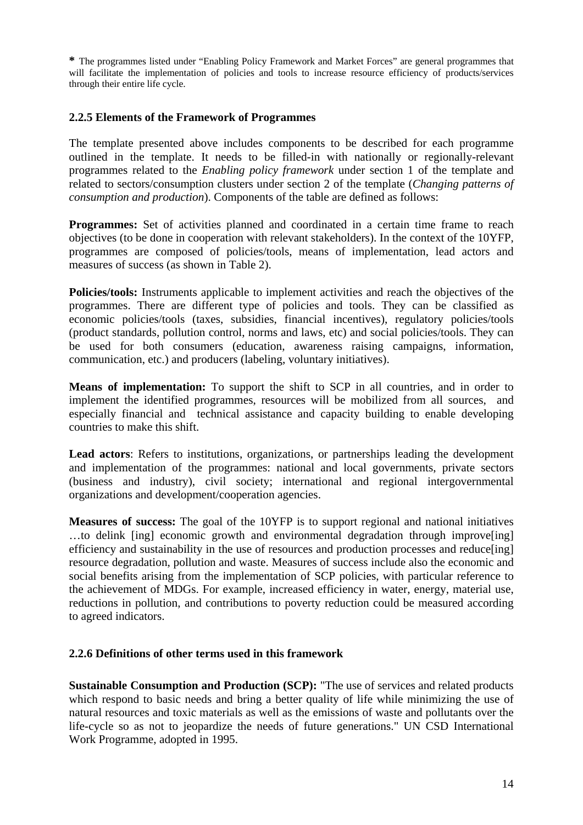**\*** The programmes listed under "Enabling Policy Framework and Market Forces" are general programmes that will facilitate the implementation of policies and tools to increase resource efficiency of products/services through their entire life cycle.

#### **2.2.5 Elements of the Framework of Programmes**

The template presented above includes components to be described for each programme outlined in the template. It needs to be filled-in with nationally or regionally-relevant programmes related to the *Enabling policy framework* under section 1 of the template and related to sectors/consumption clusters under section 2 of the template (*Changing patterns of consumption and production*). Components of the table are defined as follows:

**Programmes:** Set of activities planned and coordinated in a certain time frame to reach objectives (to be done in cooperation with relevant stakeholders). In the context of the 10YFP, programmes are composed of policies/tools, means of implementation, lead actors and measures of success (as shown in Table 2).

**Policies/tools:** Instruments applicable to implement activities and reach the objectives of the programmes. There are different type of policies and tools. They can be classified as economic policies/tools (taxes, subsidies, financial incentives), regulatory policies/tools (product standards, pollution control, norms and laws, etc) and social policies/tools. They can be used for both consumers (education, awareness raising campaigns, information, communication, etc.) and producers (labeling, voluntary initiatives).

**Means of implementation:** To support the shift to SCP in all countries, and in order to implement the identified programmes, resources will be mobilized from all sources, and especially financial and technical assistance and capacity building to enable developing countries to make this shift.

**Lead actors**: Refers to institutions, organizations, or partnerships leading the development and implementation of the programmes: national and local governments, private sectors (business and industry), civil society; international and regional intergovernmental organizations and development/cooperation agencies.

**Measures of success:** The goal of the 10YFP is to support regional and national initiatives ...to delink [ing] economic growth and environmental degradation through improve [ing] efficiency and sustainability in the use of resources and production processes and reduce[ing] resource degradation, pollution and waste. Measures of success include also the economic and social benefits arising from the implementation of SCP policies, with particular reference to the achievement of MDGs. For example, increased efficiency in water, energy, material use, reductions in pollution, and contributions to poverty reduction could be measured according to agreed indicators.

#### **2.2.6 Definitions of other terms used in this framework**

**Sustainable Consumption and Production (SCP):** "The use of services and related products which respond to basic needs and bring a better quality of life while minimizing the use of natural resources and toxic materials as well as the emissions of waste and pollutants over the life-cycle so as not to jeopardize the needs of future generations." UN CSD International Work Programme, adopted in 1995.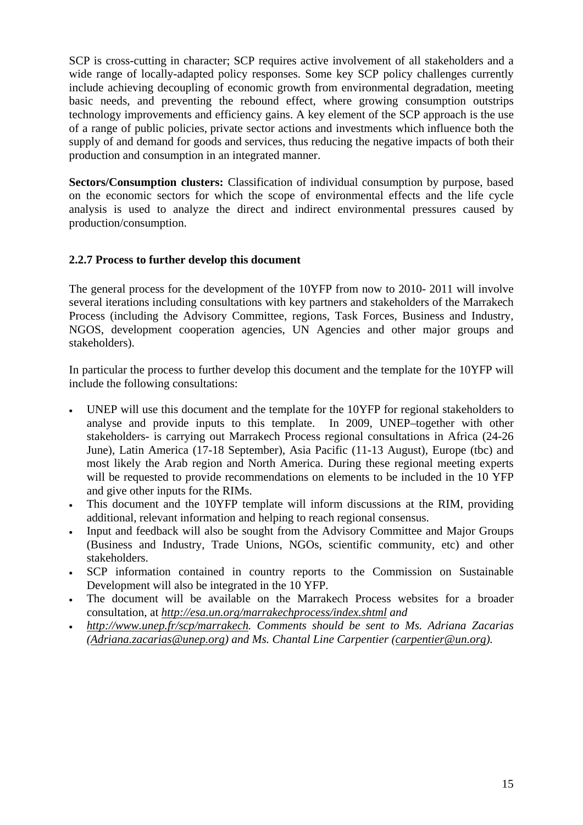SCP is cross-cutting in character; SCP requires active involvement of all stakeholders and a wide range of locally-adapted policy responses. Some key SCP policy challenges currently include achieving decoupling of economic growth from environmental degradation, meeting basic needs, and preventing the rebound effect, where growing consumption outstrips technology improvements and efficiency gains. A key element of the SCP approach is the use of a range of public policies, private sector actions and investments which influence both the supply of and demand for goods and services, thus reducing the negative impacts of both their production and consumption in an integrated manner.

**Sectors/Consumption clusters:** Classification of individual consumption by purpose, based on the economic sectors for which the scope of environmental effects and the life cycle analysis is used to analyze the direct and indirect environmental pressures caused by production/consumption.

#### **2.2.7 Process to further develop this document**

The general process for the development of the 10YFP from now to 2010- 2011 will involve several iterations including consultations with key partners and stakeholders of the Marrakech Process (including the Advisory Committee, regions, Task Forces, Business and Industry, NGOS, development cooperation agencies, UN Agencies and other major groups and stakeholders).

In particular the process to further develop this document and the template for the 10YFP will include the following consultations:

- UNEP will use this document and the template for the 10YFP for regional stakeholders to analyse and provide inputs to this template. In 2009, UNEP–together with other stakeholders- is carrying out Marrakech Process regional consultations in Africa (24-26 June), Latin America (17-18 September), Asia Pacific (11-13 August), Europe (tbc) and most likely the Arab region and North America. During these regional meeting experts will be requested to provide recommendations on elements to be included in the 10 YFP and give other inputs for the RIMs.
- This document and the 10YFP template will inform discussions at the RIM, providing additional, relevant information and helping to reach regional consensus.
- Input and feedback will also be sought from the Advisory Committee and Major Groups (Business and Industry, Trade Unions, NGOs, scientific community, etc) and other stakeholders.
- SCP information contained in country reports to the Commission on Sustainable Development will also be integrated in the 10 YFP.
- The document will be available on the Marrakech Process websites for a broader consultation, at http://esa.un.org/marrakechprocess/index.shtml and
- http://www.unep.fr/scp/marrakech. Comments should be sent to Ms. Adriana Zacarias *(Adriana.zacarias@unep.org) and Ms. Chantal Line Carpentier (carpentier@un.org).*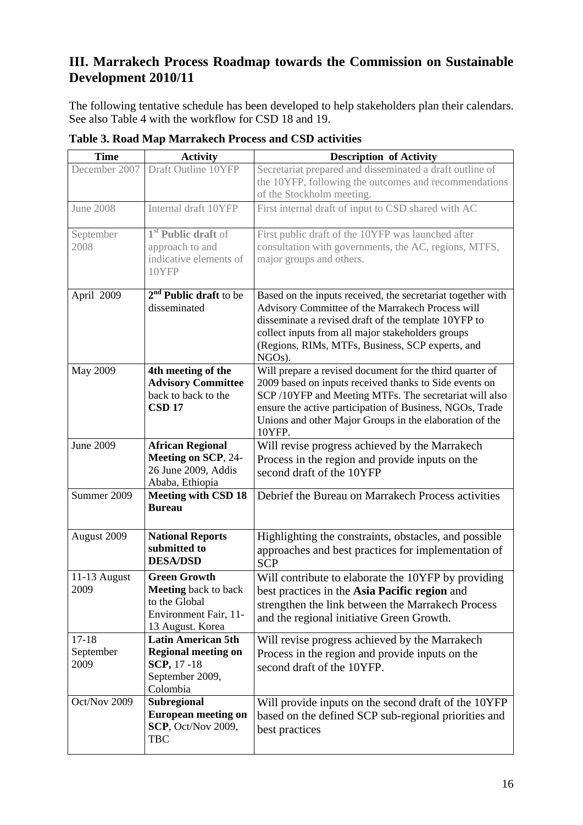## **III. Marrakech Process Roadmap towards the Commission on Sustainable Development 2010/11**

The following tentative schedule has been developed to help stakeholders plan their calendars. See also Table 4 with the workflow for CSD 18 and 19.

| <b>Time</b>                    | <b>Activity</b>                                                                                                  | <b>Description of Activity</b>                                                                                                                                                                                                                                                                                |
|--------------------------------|------------------------------------------------------------------------------------------------------------------|---------------------------------------------------------------------------------------------------------------------------------------------------------------------------------------------------------------------------------------------------------------------------------------------------------------|
| December 2007                  | Draft Outline 10YFP                                                                                              | Secretariat prepared and disseminated a draft outline of<br>the 10YFP, following the outcomes and recommendations<br>of the Stockholm meeting.                                                                                                                                                                |
| <b>June 2008</b>               | Internal draft 10YFP                                                                                             | First internal draft of input to CSD shared with AC                                                                                                                                                                                                                                                           |
| September<br>2008              | 1 <sup>st</sup> Public draft of<br>approach to and<br>indicative elements of<br>10YFP                            | First public draft of the 10YFP was launched after<br>consultation with governments, the AC, regions, MTFS,<br>major groups and others.                                                                                                                                                                       |
| April 2009                     | $2nd$ Public draft to be<br>disseminated                                                                         | Based on the inputs received, the secretariat together with<br>Advisory Committee of the Marrakech Process will<br>disseminate a revised draft of the template 10YFP to<br>collect inputs from all major stakeholders groups<br>(Regions, RIMs, MTFs, Business, SCP experts, and<br>NGOs).                    |
| May 2009                       | 4th meeting of the<br><b>Advisory Committee</b><br>back to back to the<br><b>CSD 17</b>                          | Will prepare a revised document for the third quarter of<br>2009 based on inputs received thanks to Side events on<br>SCP /10YFP and Meeting MTFs. The secretariat will also<br>ensure the active participation of Business, NGOs, Trade<br>Unions and other Major Groups in the elaboration of the<br>10YFP. |
| <b>June 2009</b>               | <b>African Regional</b><br><b>Meeting on SCP, 24-</b><br>26 June 2009, Addis<br>Ababa, Ethiopia                  | Will revise progress achieved by the Marrakech<br>Process in the region and provide inputs on the<br>second draft of the 10YFP                                                                                                                                                                                |
| Summer 2009                    | <b>Meeting with CSD 18</b><br><b>Bureau</b>                                                                      | Debrief the Bureau on Marrakech Process activities                                                                                                                                                                                                                                                            |
| August 2009                    | <b>National Reports</b><br>submitted to<br><b>DESA/DSD</b>                                                       | Highlighting the constraints, obstacles, and possible<br>approaches and best practices for implementation of<br><b>SCP</b>                                                                                                                                                                                    |
| 11-13 August<br>2009           | <b>Green Growth</b><br><b>Meeting</b> back to back<br>to the Global<br>Environment Fair, 11-<br>13 August. Korea | Will contribute to elaborate the 10YFP by providing<br>best practices in the Asia Pacific region and<br>strengthen the link between the Marrakech Process<br>and the regional initiative Green Growth.                                                                                                        |
| $17 - 18$<br>September<br>2009 | <b>Latin American 5th</b><br><b>Regional meeting on</b><br><b>SCP, 17 -18</b><br>September 2009,<br>Colombia     | Will revise progress achieved by the Marrakech<br>Process in the region and provide inputs on the<br>second draft of the 10YFP.                                                                                                                                                                               |
| Oct/Nov 2009                   | Subregional<br><b>European meeting on</b><br><b>SCP</b> , Oct/Nov 2009,<br><b>TBC</b>                            | Will provide inputs on the second draft of the 10YFP<br>based on the defined SCP sub-regional priorities and<br>best practices                                                                                                                                                                                |

**Table 3. Road Map Marrakech Process and CSD activities**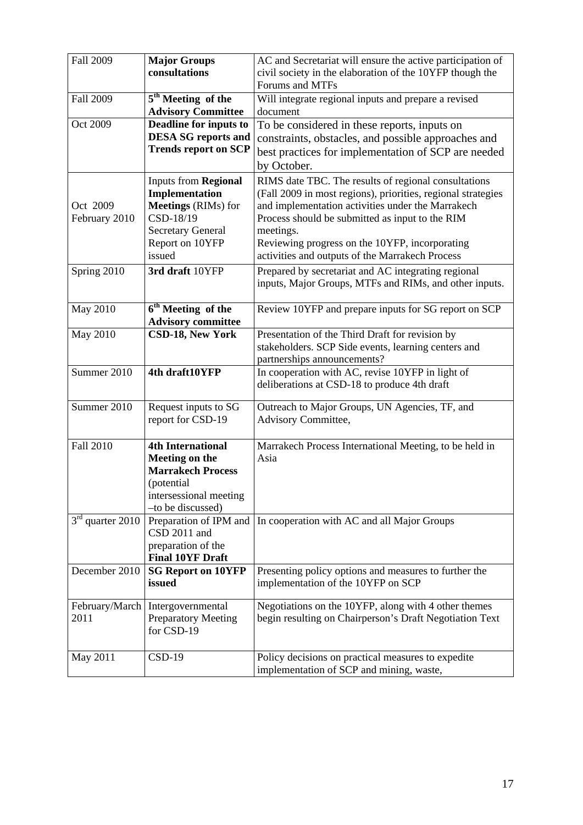| <b>Fall 2009</b>   | <b>Major Groups</b>            | AC and Secretariat will ensure the active participation of     |
|--------------------|--------------------------------|----------------------------------------------------------------|
|                    | consultations                  | civil society in the elaboration of the 10YFP though the       |
|                    |                                | Forums and MTFs                                                |
| <b>Fall 2009</b>   | 5 <sup>th</sup> Meeting of the | Will integrate regional inputs and prepare a revised           |
|                    | <b>Advisory Committee</b>      | document                                                       |
| Oct 2009           | <b>Deadline for inputs to</b>  | To be considered in these reports, inputs on                   |
|                    | <b>DESA SG reports and</b>     | constraints, obstacles, and possible approaches and            |
|                    | <b>Trends report on SCP</b>    | best practices for implementation of SCP are needed            |
|                    |                                | by October.                                                    |
|                    | <b>Inputs from Regional</b>    | RIMS date TBC. The results of regional consultations           |
|                    | Implementation                 | (Fall 2009 in most regions), priorities, regional strategies   |
| Oct 2009           | <b>Meetings (RIMs) for</b>     | and implementation activities under the Marrakech              |
| February 2010      | CSD-18/19                      | Process should be submitted as input to the RIM                |
|                    | <b>Secretary General</b>       | meetings.                                                      |
|                    | Report on 10YFP                | Reviewing progress on the 10YFP, incorporating                 |
|                    | issued                         | activities and outputs of the Marrakech Process                |
| Spring 2010        | 3rd draft 10YFP                | Prepared by secretariat and AC integrating regional            |
|                    |                                | inputs, Major Groups, MTFs and RIMs, and other inputs.         |
|                    |                                |                                                                |
| May 2010           | 6 <sup>th</sup> Meeting of the | Review 10YFP and prepare inputs for SG report on SCP           |
|                    | <b>Advisory committee</b>      |                                                                |
| May 2010           | CSD-18, New York               | Presentation of the Third Draft for revision by                |
|                    |                                | stakeholders. SCP Side events, learning centers and            |
|                    |                                | partnerships announcements?                                    |
| Summer 2010        | 4th draft10YFP                 | In cooperation with AC, revise 10YFP in light of               |
|                    |                                | deliberations at CSD-18 to produce 4th draft                   |
|                    |                                |                                                                |
| Summer 2010        | Request inputs to SG           | Outreach to Major Groups, UN Agencies, TF, and                 |
|                    | report for CSD-19              | Advisory Committee,                                            |
| <b>Fall 2010</b>   | <b>4th International</b>       |                                                                |
|                    | Meeting on the                 | Marrakech Process International Meeting, to be held in<br>Asia |
|                    | <b>Marrakech Process</b>       |                                                                |
|                    | (potential                     |                                                                |
|                    | intersessional meeting         |                                                                |
|                    | -to be discussed)              |                                                                |
| $3rd$ quarter 2010 | Preparation of IPM and         | In cooperation with AC and all Major Groups                    |
|                    | CSD 2011 and                   |                                                                |
|                    | preparation of the             |                                                                |
|                    | <b>Final 10YF Draft</b>        |                                                                |
| December 2010      | <b>SG Report on 10YFP</b>      | Presenting policy options and measures to further the          |
|                    | issued                         | implementation of the 10YFP on SCP                             |
|                    |                                |                                                                |
| February/March     | Intergovernmental              | Negotiations on the 10YFP, along with 4 other themes           |
| 2011               | <b>Preparatory Meeting</b>     | begin resulting on Chairperson's Draft Negotiation Text        |
|                    | for CSD-19                     |                                                                |
|                    |                                |                                                                |
| May 2011           | $CSD-19$                       | Policy decisions on practical measures to expedite             |
|                    |                                | implementation of SCP and mining, waste,                       |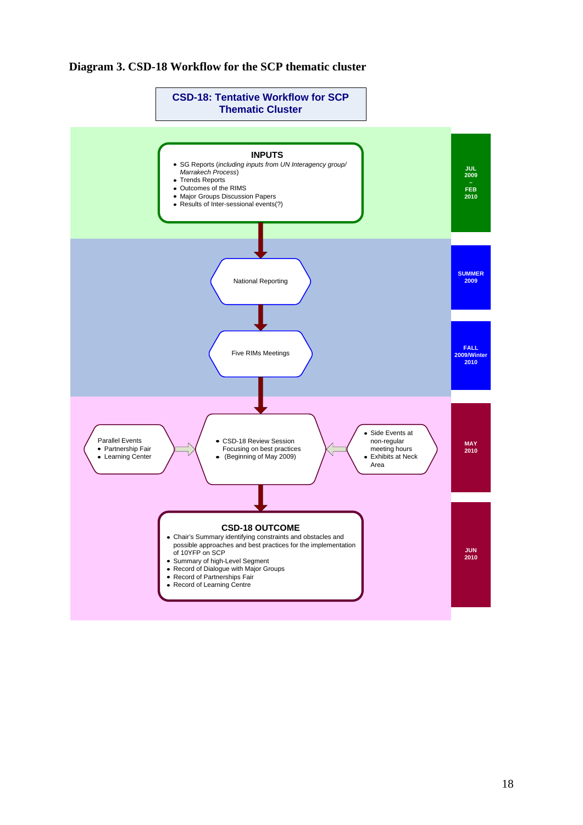#### **Diagram 3. CSD-18 Workflow for the SCP thematic cluster**